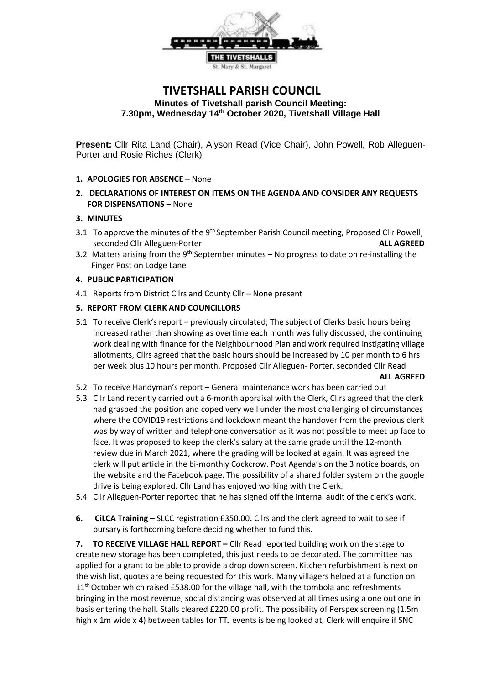

# **TIVETSHALL PARISH COUNCIL Minutes of Tivetshall parish Council Meeting: 7.30pm, Wednesday 14th October 2020, Tivetshall Village Hall**

**Present:** Cllr Rita Land (Chair), Alyson Read (Vice Chair), John Powell, Rob Alleguen-Porter and Rosie Riches (Clerk)

# **1. APOLOGIES FOR ABSENCE –** None

**2. DECLARATIONS OF INTEREST ON ITEMS ON THE AGENDA AND CONSIDER ANY REQUESTS FOR DISPENSATIONS –** None

## **3. MINUTES**

- 3.1 To approve the minutes of the 9<sup>th</sup> September Parish Council meeting, Proposed Cllr Powell, seconded Cllr Alleguen-Porter **ALL AGREED**
- 3.2 Matters arising from the  $9<sup>th</sup>$  September minutes No progress to date on re-installing the Finger Post on Lodge Lane

## **4. PUBLIC PARTICIPATION**

4.1 Reports from District Cllrs and County Cllr – None present

## **5. REPORT FROM CLERK AND COUNCILLORS**

- 5.1 To receive Clerk's report previously circulated; The subject of Clerks basic hours being increased rather than showing as overtime each month was fully discussed, the continuing work dealing with finance for the Neighbourhood Plan and work required instigating village allotments, Cllrs agreed that the basic hours should be increased by 10 per month to 6 hrs per week plus 10 hours per month. Proposed Cllr Alleguen- Porter, seconded Cllr Read **ALL AGREED**
- 5.2 To receive Handyman's report General maintenance work has been carried out
- 5.3 Cllr Land recently carried out a 6-month appraisal with the Clerk, Cllrs agreed that the clerk had grasped the position and coped very well under the most challenging of circumstances where the COVID19 restrictions and lockdown meant the handover from the previous clerk was by way of written and telephone conversation as it was not possible to meet up face to face. It was proposed to keep the clerk's salary at the same grade until the 12-month review due in March 2021, where the grading will be looked at again. It was agreed the clerk will put article in the bi-monthly Cockcrow. Post Agenda's on the 3 notice boards, on the website and the Facebook page. The possibility of a shared folder system on the google drive is being explored. Cllr Land has enjoyed working with the Clerk.
- 5.4 Cllr Alleguen-Porter reported that he has signed off the internal audit of the clerk's work.
- **6. CiLCA Training** SLCC registration £350.00**.** Cllrs and the clerk agreed to wait to see if bursary is forthcoming before deciding whether to fund this.

**7. TO RECEIVE VILLAGE HALL REPORT –** Cllr Read reported building work on the stage to create new storage has been completed, this just needs to be decorated. The committee has applied for a grant to be able to provide a drop down screen. Kitchen refurbishment is next on the wish list, quotes are being requested for this work. Many villagers helped at a function on 11<sup>th</sup> October which raised £538.00 for the village hall, with the tombola and refreshments bringing in the most revenue, social distancing was observed at all times using a one out one in basis entering the hall. Stalls cleared £220.00 profit. The possibility of Perspex screening (1.5m high x 1m wide x 4) between tables for TTJ events is being looked at, Clerk will enquire if SNC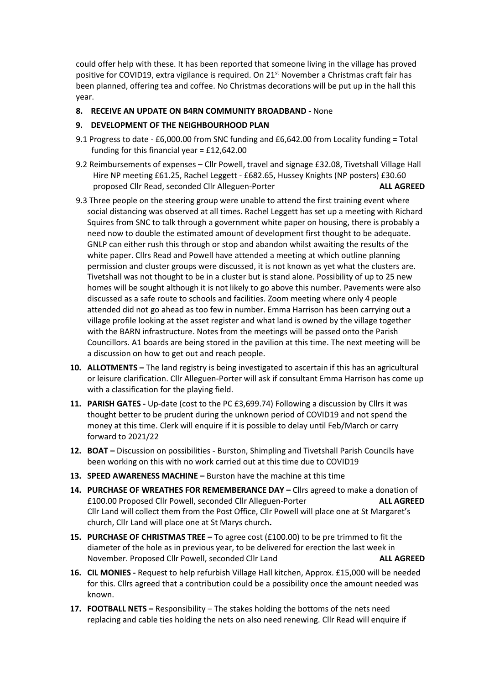could offer help with these. It has been reported that someone living in the village has proved positive for COVID19, extra vigilance is required. On 21<sup>st</sup> November a Christmas craft fair has been planned, offering tea and coffee. No Christmas decorations will be put up in the hall this year.

**8. RECEIVE AN UPDATE ON B4RN COMMUNITY BROADBAND -** None

## **9. DEVELOPMENT OF THE NEIGHBOURHOOD PLAN**

- 9.1 Progress to date £6,000.00 from SNC funding and £6,642.00 from Locality funding = Total funding for this financial year = £12,642.00
- 9.2 Reimbursements of expenses Cllr Powell, travel and signage £32.08, Tivetshall Village Hall Hire NP meeting £61.25, Rachel Leggett - £682.65, Hussey Knights (NP posters) £30.60 proposed Cllr Read, seconded Cllr Alleguen-Porter **ALL AGREED**
- 9.3 Three people on the steering group were unable to attend the first training event where social distancing was observed at all times. Rachel Leggett has set up a meeting with Richard Squires from SNC to talk through a government white paper on housing, there is probably a need now to double the estimated amount of development first thought to be adequate. GNLP can either rush this through or stop and abandon whilst awaiting the results of the white paper. Cllrs Read and Powell have attended a meeting at which outline planning permission and cluster groups were discussed, it is not known as yet what the clusters are. Tivetshall was not thought to be in a cluster but is stand alone. Possibility of up to 25 new homes will be sought although it is not likely to go above this number. Pavements were also discussed as a safe route to schools and facilities. Zoom meeting where only 4 people attended did not go ahead as too few in number. Emma Harrison has been carrying out a village profile looking at the asset register and what land is owned by the village together with the BARN infrastructure. Notes from the meetings will be passed onto the Parish Councillors. A1 boards are being stored in the pavilion at this time. The next meeting will be a discussion on how to get out and reach people.
- **10. ALLOTMENTS –** The land registry is being investigated to ascertain if this has an agricultural or leisure clarification. Cllr Alleguen-Porter will ask if consultant Emma Harrison has come up with a classification for the playing field.
- **11. PARISH GATES -** Up-date (cost to the PC £3,699.74) Following a discussion by Cllrs it was thought better to be prudent during the unknown period of COVID19 and not spend the money at this time. Clerk will enquire if it is possible to delay until Feb/March or carry forward to 2021/22
- **12. BOAT –** Discussion on possibilities Burston, Shimpling and Tivetshall Parish Councils have been working on this with no work carried out at this time due to COVID19
- **13. SPEED AWARENESS MACHINE –** Burston have the machine at this time
- 14. PURCHASE OF WREATHES FOR REMEMBERANCE DAY Cllrs agreed to make a donation of £100.00 Proposed Cllr Powell, seconded Cllr Alleguen-Porter **ALL AGREED** Cllr Land will collect them from the Post Office, Cllr Powell will place one at St Margaret's church, Cllr Land will place one at St Marys church**.**
- **15. PURCHASE OF CHRISTMAS TREE –** To agree cost (£100.00) to be pre trimmed to fit the diameter of the hole as in previous year, to be delivered for erection the last week in November. Proposed Cllr Powell, seconded Cllr Land **ALL AGREED**
- **16. CIL MONIES -** Request to help refurbish Village Hall kitchen, Approx. £15,000 will be needed for this. Cllrs agreed that a contribution could be a possibility once the amount needed was known.
- **17. FOOTBALL NETS –** Responsibility The stakes holding the bottoms of the nets need replacing and cable ties holding the nets on also need renewing. Cllr Read will enquire if